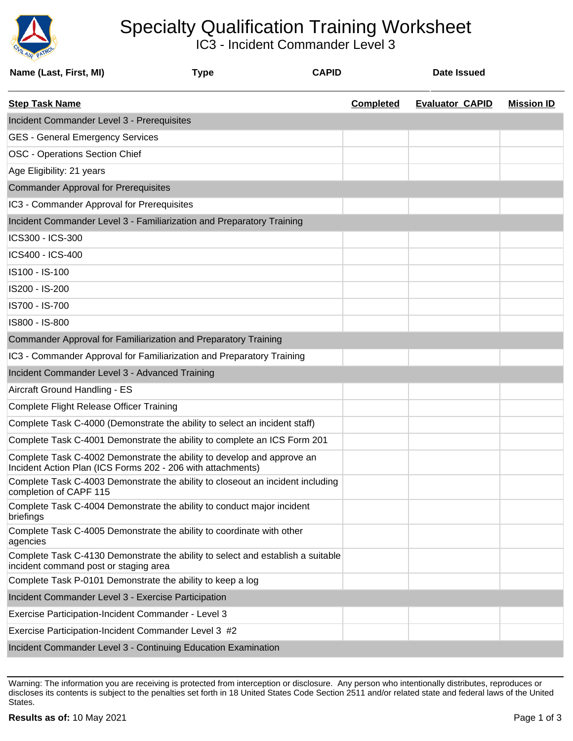

## Specialty Qualification Training Worksheet

IC3 - Incident Commander Level 3

| Name (Last, First, MI)                                                                                                                | <b>Type</b> | <b>CAPID</b> |                  | <b>Date Issued</b>     |                   |
|---------------------------------------------------------------------------------------------------------------------------------------|-------------|--------------|------------------|------------------------|-------------------|
| <b>Step Task Name</b>                                                                                                                 |             |              | <b>Completed</b> | <b>Evaluator CAPID</b> | <b>Mission ID</b> |
| Incident Commander Level 3 - Prerequisites                                                                                            |             |              |                  |                        |                   |
| <b>GES - General Emergency Services</b>                                                                                               |             |              |                  |                        |                   |
| OSC - Operations Section Chief                                                                                                        |             |              |                  |                        |                   |
| Age Eligibility: 21 years                                                                                                             |             |              |                  |                        |                   |
| <b>Commander Approval for Prerequisites</b>                                                                                           |             |              |                  |                        |                   |
| IC3 - Commander Approval for Prerequisites                                                                                            |             |              |                  |                        |                   |
| Incident Commander Level 3 - Familiarization and Preparatory Training                                                                 |             |              |                  |                        |                   |
| ICS300 - ICS-300                                                                                                                      |             |              |                  |                        |                   |
| ICS400 - ICS-400                                                                                                                      |             |              |                  |                        |                   |
| IS100 - IS-100                                                                                                                        |             |              |                  |                        |                   |
| IS200 - IS-200                                                                                                                        |             |              |                  |                        |                   |
| IS700 - IS-700                                                                                                                        |             |              |                  |                        |                   |
| IS800 - IS-800                                                                                                                        |             |              |                  |                        |                   |
| Commander Approval for Familiarization and Preparatory Training                                                                       |             |              |                  |                        |                   |
| IC3 - Commander Approval for Familiarization and Preparatory Training                                                                 |             |              |                  |                        |                   |
| Incident Commander Level 3 - Advanced Training                                                                                        |             |              |                  |                        |                   |
| Aircraft Ground Handling - ES                                                                                                         |             |              |                  |                        |                   |
| Complete Flight Release Officer Training                                                                                              |             |              |                  |                        |                   |
| Complete Task C-4000 (Demonstrate the ability to select an incident staff)                                                            |             |              |                  |                        |                   |
| Complete Task C-4001 Demonstrate the ability to complete an ICS Form 201                                                              |             |              |                  |                        |                   |
| Complete Task C-4002 Demonstrate the ability to develop and approve an<br>Incident Action Plan (ICS Forms 202 - 206 with attachments) |             |              |                  |                        |                   |
| Complete Task C-4003 Demonstrate the ability to closeout an incident including<br>completion of CAPF 115                              |             |              |                  |                        |                   |
| Complete Task C-4004 Demonstrate the ability to conduct major incident<br>briefings                                                   |             |              |                  |                        |                   |
| Complete Task C-4005 Demonstrate the ability to coordinate with other<br>agencies                                                     |             |              |                  |                        |                   |
| Complete Task C-4130 Demonstrate the ability to select and establish a suitable<br>incident command post or staging area              |             |              |                  |                        |                   |
| Complete Task P-0101 Demonstrate the ability to keep a log                                                                            |             |              |                  |                        |                   |
| Incident Commander Level 3 - Exercise Participation                                                                                   |             |              |                  |                        |                   |
| Exercise Participation-Incident Commander - Level 3                                                                                   |             |              |                  |                        |                   |
| Exercise Participation-Incident Commander Level 3 #2                                                                                  |             |              |                  |                        |                   |
| Incident Commander Level 3 - Continuing Education Examination                                                                         |             |              |                  |                        |                   |

Warning: The information you are receiving is protected from interception or disclosure. Any person who intentionally distributes, reproduces or discloses its contents is subject to the penalties set forth in 18 United States Code Section 2511 and/or related state and federal laws of the United States.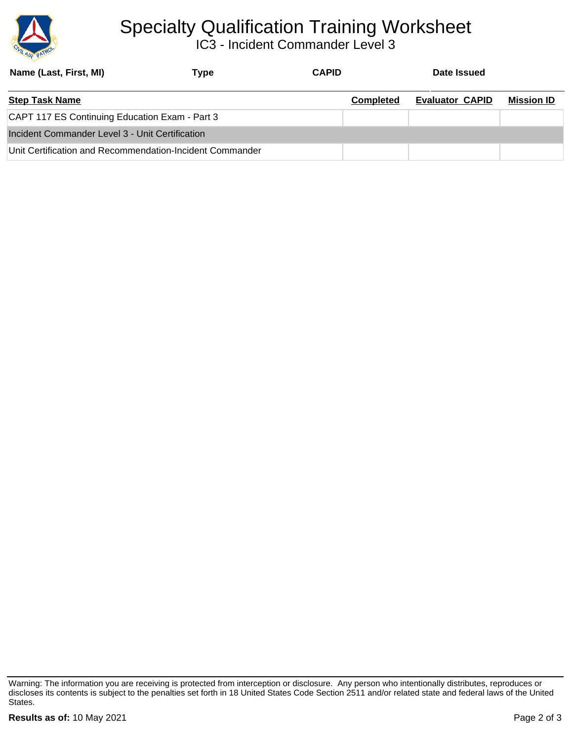

## Specialty Qualification Training Worksheet

IC3 - Incident Commander Level 3

| Name (Last, First, MI)                                   | Type | <b>CAPID</b> |                  | Date Issued            |                   |
|----------------------------------------------------------|------|--------------|------------------|------------------------|-------------------|
| <b>Step Task Name</b>                                    |      |              | <b>Completed</b> | <b>Evaluator CAPID</b> | <b>Mission ID</b> |
| CAPT 117 ES Continuing Education Exam - Part 3           |      |              |                  |                        |                   |
| Incident Commander Level 3 - Unit Certification          |      |              |                  |                        |                   |
| Unit Certification and Recommendation-Incident Commander |      |              |                  |                        |                   |

Warning: The information you are receiving is protected from interception or disclosure. Any person who intentionally distributes, reproduces or discloses its contents is subject to the penalties set forth in 18 United States Code Section 2511 and/or related state and federal laws of the United States.